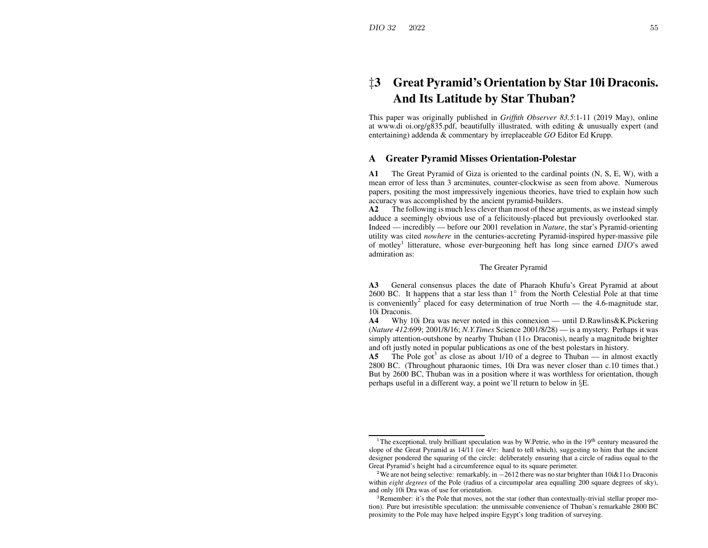# ‡**3 Great Pyramid's Orientation by Star 10i Draconis. And Its Latitude by Star Thuban?**

This paper was originally published in *Griffith Observer 83.5*:1-11 (2019 May), online at www.di oi.org/g835.pdf, beautifully illustrated, with editing & unusually exper<sup>t</sup> (and entertaining) addenda & commentary by irreplaceable *GO* Editor Ed Krupp.

### **AGreater Pyramid Misses Orientation-Polestar**

**A1** The Great Pyramid of Giza is oriented to the cardinal points (N, S, E, W), with <sup>a</sup> mean error of less than 3 arcminutes, counter-clockwise as seen from above. Numerous papers, positing the most impressively ingenious theories, have tried to explain how such accuracy was accomplished by the ancient pyramid-builders.

**A2** The following is much less clever than most of these arguments, as we instead simply adduce <sup>a</sup> seemingly obvious use of <sup>a</sup> felicitously-placed but previously overlooked star. Indeed — incredibly — before our 2001 revelation in *Nature*, the star's Pyramid-orienting utility was cited *nowhere* in the centuries-accreting Pyramid-inspired hyper-massive pile of motley<sup>1</sup> litterature, whose ever-burgeoning heft has long since earned DIO's awed admiration as:

### The Greater Pyramid

**A3** General consensus places the date of Pharaoh Khufu's Great Pyramid at about 2600 BC. It happens that a star less than  $1^\circ$  from the North Celestial Pole at that time is conveniently<sup>2</sup> placed for easy determination of true North — the 4.6-magnitude star, 10i Draconis.

**A4**Why 10i Dra was never noted in this connexion — until D.Rawlins&K.Pickering (*Nature 412*:699; 2001/8/16; *N.Y.Times* Science 2001/8/28) — is <sup>a</sup> mystery. Perhaps it was simply attention-outshone by nearby Thuban ( $11\alpha$  Draconis), nearly a magnitude brighter and oft justly noted in popular publications as one of the best polestars in history.

**A5**The Pole got<sup>3</sup> as close as about  $1/10$  of a degree to Thuban — in almost exactly 2800 BC. (Throughout pharaonic times, 10i Dra was never closer than c.10 times that.) But by 2600 BC, Thuban was in <sup>a</sup> position where it was worthless for orientation, though perhaps useful in <sup>a</sup> different way, <sup>a</sup> point we'll return to below in §E.

<sup>&</sup>lt;sup>1</sup>The exceptional, truly brilliant speculation was by W.Petrie, who in the  $19<sup>th</sup>$  century measured the slope of the Great Pyramid as  $14/11$  (or  $4/\pi$ : hard to tell which), suggesting to him that the ancient designer pondered the squaring of the circle: deliberately ensuring that <sup>a</sup> circle of radius equal to the Great Pyramid's height had <sup>a</sup> circumference equal to its square perimeter.

<sup>&</sup>lt;sup>2</sup>We are not being selective: remarkably, in  $-2612$  there was no star brighter than  $10i\&11\alpha$  Draconis within *eight degrees* of the Pole (radius of <sup>a</sup> circumpolar area equalling 200 square degrees of sky), and only 10i Dra was of use for orientation.

<sup>&</sup>lt;sup>3</sup>Remember: it's the Pole that moves, not the star (other than contextually-trivial stellar proper motion). Pure but irresistible speculation: the unmissable convenience of Thuban's remarkable 2800 BC proximity to the Pole may have helped inspire Egypt's long tradition of surveying.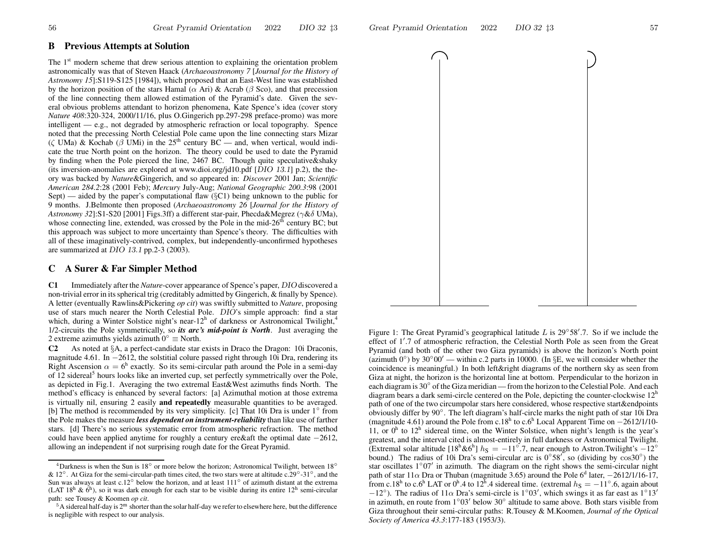## **B Previous Attempts at Solution**

The  $1<sup>st</sup>$  modern scheme that drew serious attention to explaining the orientation problem astronomically was that of Steven Haack (*Archaeoastronomy 7* [*Journal for the History of Astronomy 15*]:S119-S125 [1984]), which proposed that an East-West line was established by the horizon position of the stars Hamal ( $\alpha$  Ari) & Acrab ( $\beta$  Sco), and that precession of the line connecting them allowed estimation of the Pyramid's date. Given the several obvious problems attendant to horizon phenomena, Kate Spence's idea (cover story *Nature 408*:320-324, 2000/11/16, plus O.Gingerich pp.297-298 preface-promo) was more intelligent — e.g., not degraded by atmospheric refraction or local topography. Spence noted that the precessing North Celestial Pole came upon the line connecting stars Mizar (ζ UMa) & Kochab ( $\beta$  UMi) in the 25<sup>th</sup> century BC — and, when vertical, would indicate the true North point on the horizon. The theory could be used to date the Pyramid by finding when the Pole pierced the line, 2467 BC. Though quite speculative&shaky (its inversion-anomalies are explored at www.dioi.org/jd10.pdf [DIO 13.1] p.2), the theory was backed by *Nature*&Gingerich, and so appeared in: *Discover* 2001 Jan; *Scientific American 284.2*:28 (2001 Feb); *Mercury* July-Aug; *National Geographic 200.3*:98 (2001 Sept) — aided by the paper's computational fla w (§C1) being unknown to the public for 9 months. J.Belmonte then proposed (*Archaeoastronomy 26* [*Journal for the History of Astronomy 32*]:S1-S20 [2001] Figs.3ff) <sup>a</sup> different star-pair, Phecda&Megrez (γ &δ UMa), whose connecting line, extended, was crossed by the Pole in the mid-26<sup>th</sup> century BC; but this approach was subject to more uncertainty than Spence's theory. The difficulties with all of these imaginatively-contrived, complex, but independently-unconfirmed hypotheses are summarized at DIO 13.1 pp.2-3 (2003).

### **CA Surer &Far Simpler Method**

**C1** Immediately after the *Nature*-cover appearance of Spence's paper, DIO discovered <sup>a</sup> non-trivial error in itsspherical trig (creditably admitted by Gingerich, & finally by Spence). A letter (eventually Rawlins&Pickering *op cit*) was swiftly submitted to *Nature*, proposing use of stars much nearer the North Celestial Pole. DIO's simple approach: find <sup>a</sup> star which, during a Winter Solstice night's near-12<sup>h</sup> of darkness or Astronomical Twilight,<sup>4</sup> 1/2-circuits the Pole symmetrically, so *its arc's mid-point is North*. Just averaging the 2 extreme azimuths yields azimuth  $0° \equiv$  North.

**C2** As noted at §A, <sup>a</sup> perfect-candidate star exists in Draco the Dragon: 10i Draconis, magnitude 4.61. In −2612, the solstitial colure passed right through 10i Dra, rendering its Right Ascension  $\alpha = 6^{\text{h}}$  exactly. So its semi-circular path around the Pole in a semi-day of 12 sidereal<sup>5</sup> hours looks like an inverted cup, set perfectly symmetrically over the Pole, as depicted in Fig.1. Averaging the two extremal East&West azimuths finds North. The method's efficacy is enhanced by several factors: [a] Azimuthal motion at those extrema is virtually nil, ensuring 2 easily **and repeatedly** measurable quantities to be averaged. [b] The method is recommended by its very simplicity. [c] That 10i Dra is under 1◦ from the Pole makes the measure *less dependent on instrument-reliability* than like use of farther stars. [d] There's no serious systematic error from atmospheric refraction. The method could have been applied anytime for roughly a century ere & aft the optimal date  $-2612$ , allowing an independent if not surprising rough date for the Great Pyramid.





Figure 1: The Great Pyramid's geographical latitude L is  $29°58'$ .7. So if we include the effect of 1'.7 of atmospheric refraction, the Celestial North Pole as seen from the Great Pyramid (and both of the other two Giza pyramids) is above the horizon's North point (azimuth  $0°$ ) by  $30°00'$  — within c.2 parts in 10000. (In §E, we will consider whether the coincidence is meaningful.) In both left&right diagrams of the northern sky as seen from Giza at night, the horizon is the horizontal line at bottom. Perpendicular to the horizon in each diagram is 30 $^{\circ}$  of the Giza meridian — from the horizon to the Celestial Pole. And each diagram bears a dark semi-circle centered on the Pole, depicting the counter-clockwise  $12<sup>h</sup>$ path of one of the two circumpolar stars here considered, whose respective start&endpoints obviously differ by 90◦. The left diagram's half-circle marks the night path of star 10i Dra (magnitude 4.61) around the Pole from c.18<sup>h</sup> to c.6<sup>h</sup> Local Apparent Time on  $-2612/1/10$ -11, or  $0<sup>h</sup>$  to  $12<sup>h</sup>$  sidereal time, on the Winter Solstice, when night's length is the year's greatest, and the interval cited is almost-entirely in full darkness or Astronomical Twilight. (Extremal solar altitude [ $18^h$ & $6^h$ ]  $h_S = -11^\circ.7$ , near enough to Astron.Twilight's  $-12^\circ$ bound.) The radius of 10i Dra's semi-circular arc is  $0^{\circ}58'$ , so (dividing by  $\cos 30^{\circ}$ ) the star oscillates  $1°07'$  in azimuth. The diagram on the right shows the semi-circular night path of star 11 $\alpha$  Dra or Thuban (magnitude 3.65) around the Pole 6<sup>d</sup> later, -2612/1/16-17, from c.18<sup>h</sup> to c.6<sup>h</sup> LAT or 0<sup>h</sup>.4 to 12<sup>h</sup>.4 sidereal time. (extremal  $h_S = -11°.6$ , again about  $-12°$ ). The radius of  $11\alpha$  Dra's semi-circle is  $1°03'$ , which swings it as far east as  $1°13'$ in azimuth, en route from  $1°03'$  below  $30°$  altitude to same above. Both stars visible from Giza throughout their semi-circular paths: R.Tousey & M.Koomen, *Journal of the Optical Society of America 43.3*:177-183 (1953/3).

<sup>&</sup>lt;sup>4</sup>Darkness is when the Sun is 18<sup>°</sup> or more below the horizon; Astronomical Twilight, between 18<sup>°</sup> & 12<sup>°</sup>. At Giza for the semi-circular-path times cited, the two stars were at altitude c.29<sup>°</sup>-31<sup>°</sup>, and the Sun was always at least c.12<sup>°</sup> below the horizon, and at least  $111°$  of azimuth distant at the extrema (LAT 18<sup>h</sup> & 6<sup>h</sup>), so it was dark enough for each star to be visible during its entire 12<sup>h</sup> semi-circular path: see Tousey & Koomen *op cit*.

 $^5$ A sidereal half-day is 2<sup>m</sup> shorter than the solar half-day we refer to elsewhere here, but the difference is negligible with respec<sup>t</sup> to our analysis.